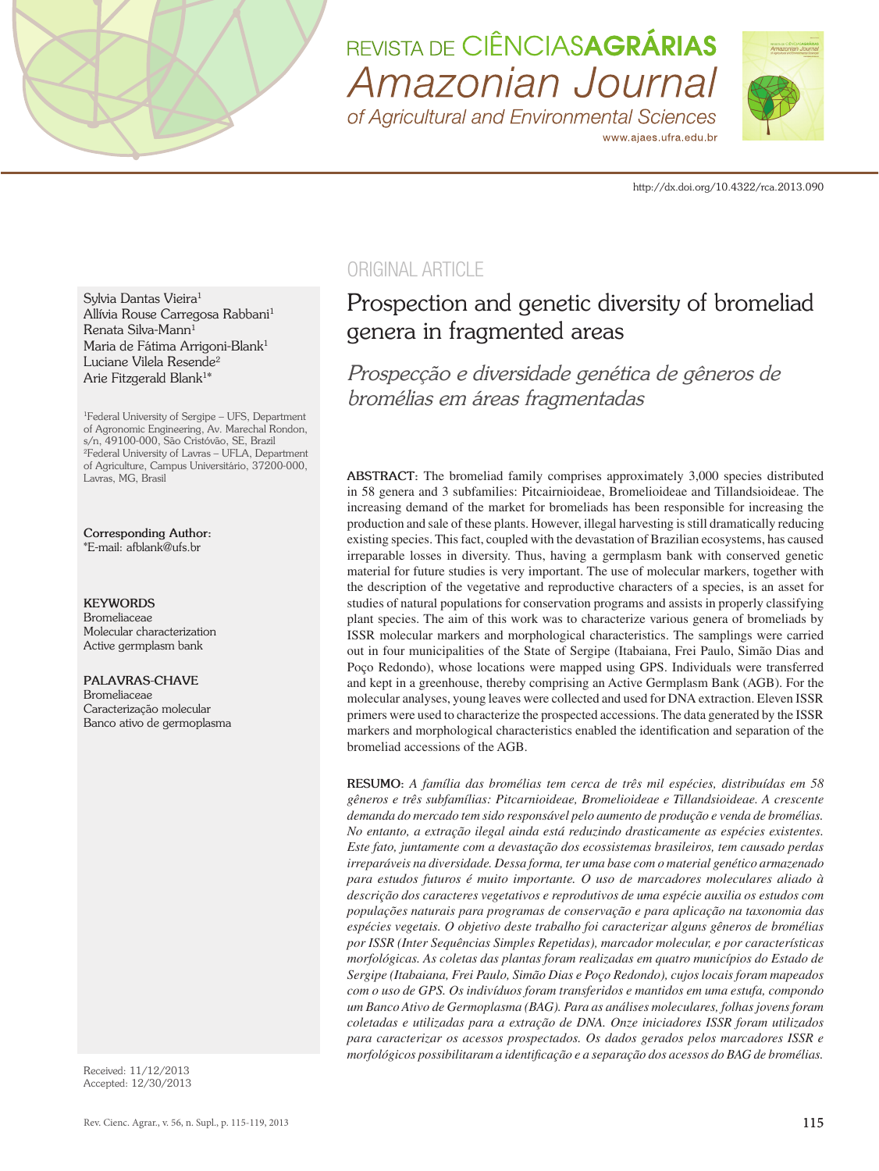

# REVISTA DE CIÊNCIASAGRÁRIAS Amazonian Journal

of Agricultural and Environmental Sciences www.ajaes.ufra.edu.br



http://dx.doi.org/10.4322/rca.2013.090

Sylvia Dantas Vieira<sup>1</sup> Allívia Rouse Carregosa Rabbani1 Renata Silva-Mann<sup>1</sup> Maria de Fátima Arrigoni-Blank<sup>1</sup> Luciane Vilela Resende<sup>2</sup> Arie Fitzgerald Blank1\*

<sup>1</sup>Federal University of Sergipe – UFS, Department of Agronomic Engineering, Av. Marechal Rondon, s/n, 49100-000, São Cristóvão, SE, Brazil <sup>2</sup>Federal University of Lavras – UFLA, Department of Agriculture, Campus Universitário, 37200-000, Lavras, MG, Brasil

**Corresponding Author:** \*E-mail: afblank@ufs.br

#### **KEYWORDS**

Bromeliaceae Molecular characterization Active germplasm bank

#### **PALAVRAS-CHAVE**

Bromeliaceae Caracterização molecular Banco ativo de germoplasma

Received: 11/12/2013 Accepted: 12/30/2013

# ORIGINAL ARTICLE

# Prospection and genetic diversity of bromeliad genera in fragmented areas

*Prospecção e diversidade genética de gêneros de bromélias em áreas fragmentadas*

**ABSTRACT:** The bromeliad family comprises approximately 3,000 species distributed in 58 genera and 3 subfamilies: Pitcairnioideae, Bromelioideae and Tillandsioideae. The increasing demand of the market for bromeliads has been responsible for increasing the production and sale of these plants. However, illegal harvesting is still dramatically reducing existing species. This fact, coupled with the devastation of Brazilian ecosystems, has caused irreparable losses in diversity. Thus, having a germplasm bank with conserved genetic material for future studies is very important. The use of molecular markers, together with the description of the vegetative and reproductive characters of a species, is an asset for studies of natural populations for conservation programs and assists in properly classifying plant species. The aim of this work was to characterize various genera of bromeliads by ISSR molecular markers and morphological characteristics. The samplings were carried out in four municipalities of the State of Sergipe (Itabaiana, Frei Paulo, Simão Dias and Poço Redondo), whose locations were mapped using GPS. Individuals were transferred and kept in a greenhouse, thereby comprising an Active Germplasm Bank (AGB). For the molecular analyses, young leaves were collected and used for DNA extraction. Eleven ISSR primers were used to characterize the prospected accessions. The data generated by the ISSR markers and morphological characteristics enabled the identification and separation of the bromeliad accessions of the AGB.

**RESUMO:** *A família das bromélias tem cerca de três mil espécies, distribuídas em 58 gêneros e três subfamílias: Pitcarnioideae, Bromelioideae e Tillandsioideae. A crescente demanda do mercado tem sido responsável pelo aumento de produção e venda de bromélias. No entanto, a extração ilegal ainda está reduzindo drasticamente as espécies existentes. Este fato, juntamente com a devastação dos ecossistemas brasileiros, tem causado perdas irreparáveis na diversidade. Dessa forma, ter uma base com o material genético armazenado para estudos futuros é muito importante. O uso de marcadores moleculares aliado à descrição dos caracteres vegetativos e reprodutivos de uma espécie auxilia os estudos com populações naturais para programas de conservação e para aplicação na taxonomia das espécies vegetais. O objetivo deste trabalho foi caracterizar alguns gêneros de bromélias por ISSR (Inter Sequências Simples Repetidas), marcador molecular, e por características morfológicas. As coletas das plantas foram realizadas em quatro municípios do Estado de Sergipe (Itabaiana, Frei Paulo, Simão Dias e Poço Redondo), cujos locais foram mapeados com o uso de GPS. Os indivíduos foram transferidos e mantidos em uma estufa, compondo um Banco Ativo de Germoplasma (BAG). Para as análises moleculares, folhas jovens foram coletadas e utilizadas para a extração de DNA. Onze iniciadores ISSR foram utilizados para caracterizar os acessos prospectados. Os dados gerados pelos marcadores ISSR e morfológicos possibilitaram a identificação e a separação dos acessos do BAG de bromélias.*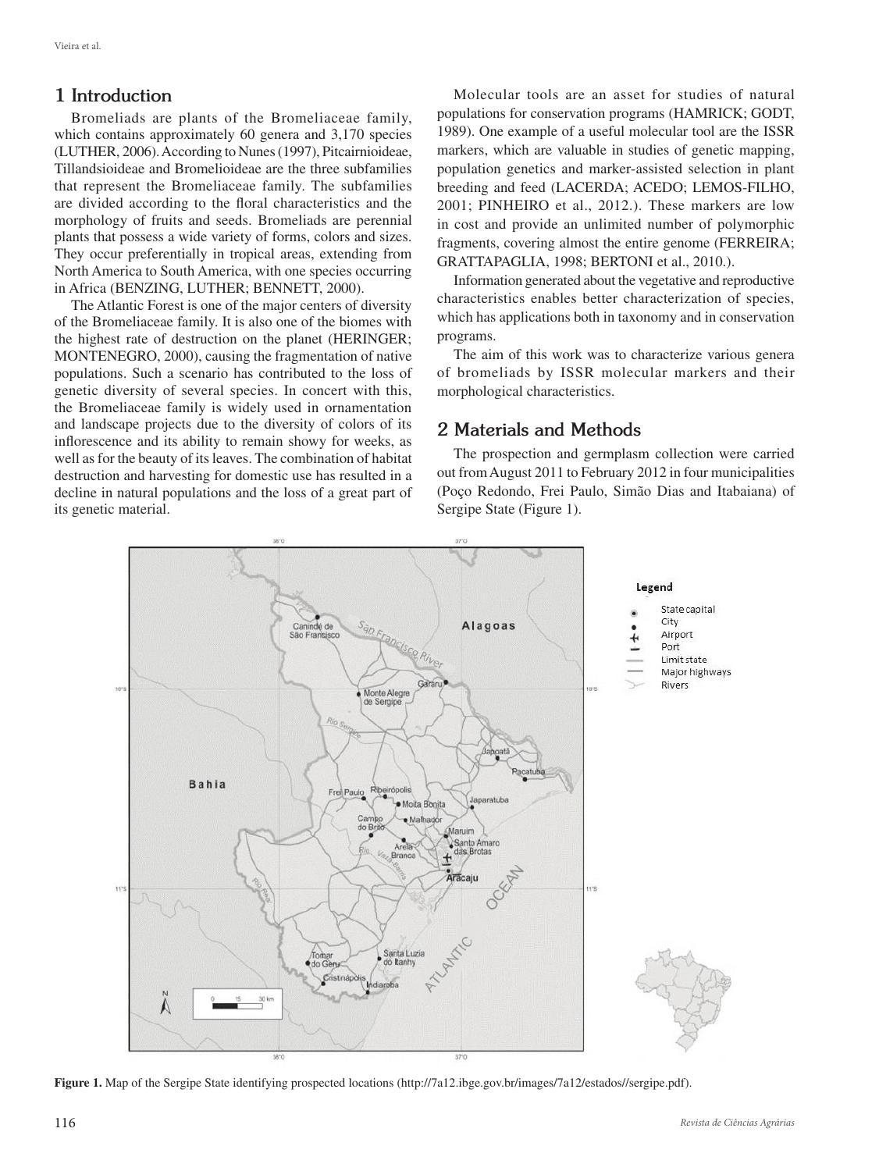## **1 Introduction**

Bromeliads are plants of the Bromeliaceae family, which contains approximately 60 genera and 3,170 species (LUTHER, 2006). According to Nunes (1997), Pitcairnioideae, Tillandsioideae and Bromelioideae are the three subfamilies that represent the Bromeliaceae family. The subfamilies are divided according to the floral characteristics and the morphology of fruits and seeds. Bromeliads are perennial plants that possess a wide variety of forms, colors and sizes. They occur preferentially in tropical areas, extending from North America to South America, with one species occurring in Africa (BENZING, LUTHER; BENNETT, 2000).

The Atlantic Forest is one of the major centers of diversity of the Bromeliaceae family. It is also one of the biomes with the highest rate of destruction on the planet (HERINGER; MONTENEGRO, 2000), causing the fragmentation of native populations. Such a scenario has contributed to the loss of genetic diversity of several species. In concert with this, the Bromeliaceae family is widely used in ornamentation and landscape projects due to the diversity of colors of its inflorescence and its ability to remain showy for weeks, as well as for the beauty of its leaves. The combination of habitat destruction and harvesting for domestic use has resulted in a decline in natural populations and the loss of a great part of its genetic material.

Molecular tools are an asset for studies of natural populations for conservation programs (HAMRICK; GODT, 1989). One example of a useful molecular tool are the ISSR markers, which are valuable in studies of genetic mapping, population genetics and marker-assisted selection in plant breeding and feed (LACERDA; ACEDO; LEMOS-FILHO, 2001; PINHEIRO et al., 2012.). These markers are low in cost and provide an unlimited number of polymorphic fragments, covering almost the entire genome (FERREIRA; GRATTAPAGLIA, 1998; BERTONI et al., 2010.).

Information generated about the vegetative and reproductive characteristics enables better characterization of species, which has applications both in taxonomy and in conservation programs.

The aim of this work was to characterize various genera of bromeliads by ISSR molecular markers and their morphological characteristics.

## **2 Materials and Methods**

The prospection and germplasm collection were carried out from August 2011 to February 2012 in four municipalities (Poço Redondo, Frei Paulo, Simão Dias and Itabaiana) of Sergipe State (Figure 1).



**Figure 1.** Map of the Sergipe State identifying prospected locations (http://7a12.ibge.gov.br/images/7a12/estados//sergipe.pdf).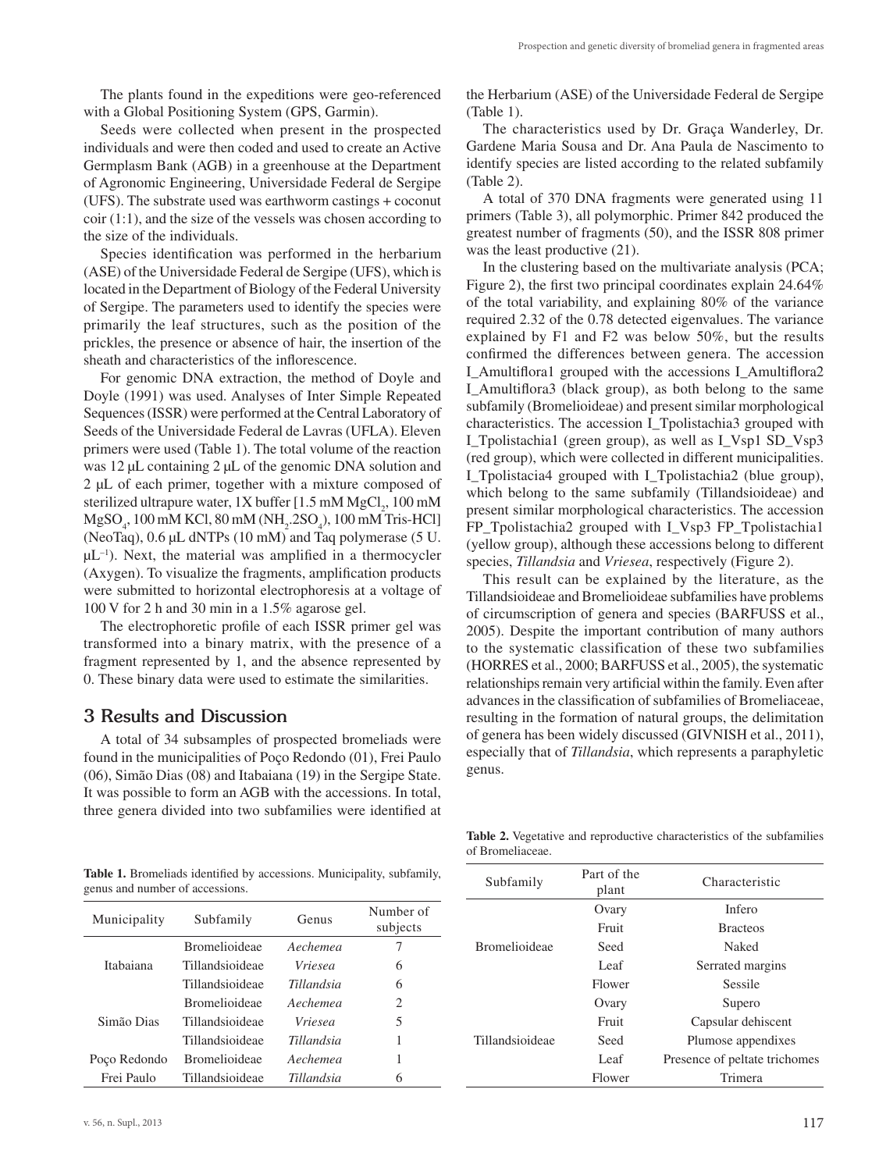The plants found in the expeditions were geo-referenced with a Global Positioning System (GPS, Garmin).

Seeds were collected when present in the prospected individuals and were then coded and used to create an Active Germplasm Bank (AGB) in a greenhouse at the Department of Agronomic Engineering, Universidade Federal de Sergipe (UFS). The substrate used was earthworm castings + coconut coir (1:1), and the size of the vessels was chosen according to the size of the individuals.

Species identification was performed in the herbarium (ASE) of the Universidade Federal de Sergipe (UFS), which is located in the Department of Biology of the Federal University of Sergipe. The parameters used to identify the species were primarily the leaf structures, such as the position of the prickles, the presence or absence of hair, the insertion of the sheath and characteristics of the inflorescence.

For genomic DNA extraction, the method of Doyle and Doyle (1991) was used. Analyses of Inter Simple Repeated Sequences (ISSR) were performed at the Central Laboratory of Seeds of the Universidade Federal de Lavras (UFLA). Eleven primers were used (Table 1). The total volume of the reaction was 12 μL containing 2 μL of the genomic DNA solution and 2 µL of each primer, together with a mixture composed of sterilized ultrapure water, 1X buffer [ $1.5 \text{ mM MgCl}_2$ ,  $100 \text{ mM}$ MgSO<sub>4</sub>, 100 mM KCl, 80 mM (NH<sub>2</sub>.2SO<sub>4</sub>), 100 mM Tris-HCl] (NeoTaq), 0.6 µL dNTPs (10 mM) and Taq polymerase (5 U.  $\mu$ L<sup>-1</sup>). Next, the material was amplified in a thermocycler (Axygen). To visualize the fragments, amplification products were submitted to horizontal electrophoresis at a voltage of 100 V for 2 h and 30 min in a 1.5% agarose gel.

The electrophoretic profile of each ISSR primer gel was transformed into a binary matrix, with the presence of a fragment represented by 1, and the absence represented by 0. These binary data were used to estimate the similarities.

#### **3 Results and Discussion**

A total of 34 subsamples of prospected bromeliads were found in the municipalities of Poço Redondo (01), Frei Paulo (06), Simão Dias (08) and Itabaiana (19) in the Sergipe State. It was possible to form an AGB with the accessions. In total, three genera divided into two subfamilies were identified at the Herbarium (ASE) of the Universidade Federal de Sergipe (Table 1).

The characteristics used by Dr. Graça Wanderley, Dr. Gardene Maria Sousa and Dr. Ana Paula de Nascimento to identify species are listed according to the related subfamily (Table 2).

A total of 370 DNA fragments were generated using 11 primers (Table 3), all polymorphic. Primer 842 produced the greatest number of fragments (50), and the ISSR 808 primer was the least productive (21).

In the clustering based on the multivariate analysis (PCA; Figure 2), the first two principal coordinates explain 24.64% of the total variability, and explaining 80% of the variance required 2.32 of the 0.78 detected eigenvalues. The variance explained by F1 and F2 was below 50%, but the results confirmed the differences between genera. The accession I\_Amultiflora1 grouped with the accessions I\_Amultiflora2 I\_Amultiflora3 (black group), as both belong to the same subfamily (Bromelioideae) and present similar morphological characteristics. The accession I\_Tpolistachia3 grouped with I\_Tpolistachia1 (green group), as well as I\_Vsp1 SD\_Vsp3 (red group), which were collected in different municipalities. I Tpolistacia4 grouped with I Tpolistachia2 (blue group), which belong to the same subfamily (Tillandsioideae) and present similar morphological characteristics. The accession FP\_Tpolistachia2 grouped with I\_Vsp3 FP\_Tpolistachia1 (yellow group), although these accessions belong to different species, *Tillandsia* and *Vriesea*, respectively (Figure 2).

This result can be explained by the literature, as the Tillandsioideae and Bromelioideae subfamilies have problems of circumscription of genera and species (BARFUSS et al., 2005). Despite the important contribution of many authors to the systematic classification of these two subfamilies (HORRES et al., 2000; BARFUSS et al., 2005), the systematic relationships remain very artificial within the family. Even after advances in the classification of subfamilies of Bromeliaceae, resulting in the formation of natural groups, the delimitation of genera has been widely discussed (GIVNISH et al., 2011), especially that of *Tillandsia*, which represents a paraphyletic genus.

|  |                                 |  | Table 1. Bromeliads identified by accessions. Municipality, subfamily, |  |
|--|---------------------------------|--|------------------------------------------------------------------------|--|
|  | genus and number of accessions. |  |                                                                        |  |

| Municipality | Subfamily            | Genus      | Number of<br>subjects |
|--------------|----------------------|------------|-----------------------|
|              | <b>Bromelioideae</b> | Aechemea   |                       |
| Itabaiana    | Tillandsioideae      | Vriesea    | 6                     |
|              | Tillandsioideae      | Tillandsia | 6                     |
|              | <b>Bromelioideae</b> | Aechemea   | 2                     |
| Simão Dias   | Tillandsioideae      | Vriesea    | 5                     |
|              | Tillandsioideae      | Tillandsia | 1                     |
| Poco Redondo | <b>Bromelioideae</b> | Aechemea   | 1                     |
| Frei Paulo   | Tillandsioideae      | Tillandsia | 6                     |

**Table 2.** Vegetative and reproductive characteristics of the subfamilies of Bromeliaceae.

| Subfamily            | Part of the<br>plant | Characteristic                |  |
|----------------------|----------------------|-------------------------------|--|
|                      | Ovary                | Infero                        |  |
|                      | Fruit                | <b>Bracteos</b>               |  |
| <b>Bromelioideae</b> | Seed                 | Naked                         |  |
|                      | Leaf                 | Serrated margins              |  |
|                      | Flower               | Sessile                       |  |
|                      | Ovary                | Supero                        |  |
|                      | Fruit                | Capsular dehiscent            |  |
| Tillandsioideae      | Seed                 | Plumose appendixes            |  |
|                      | Leaf                 | Presence of peltate trichomes |  |
|                      | Flower               | Trimera                       |  |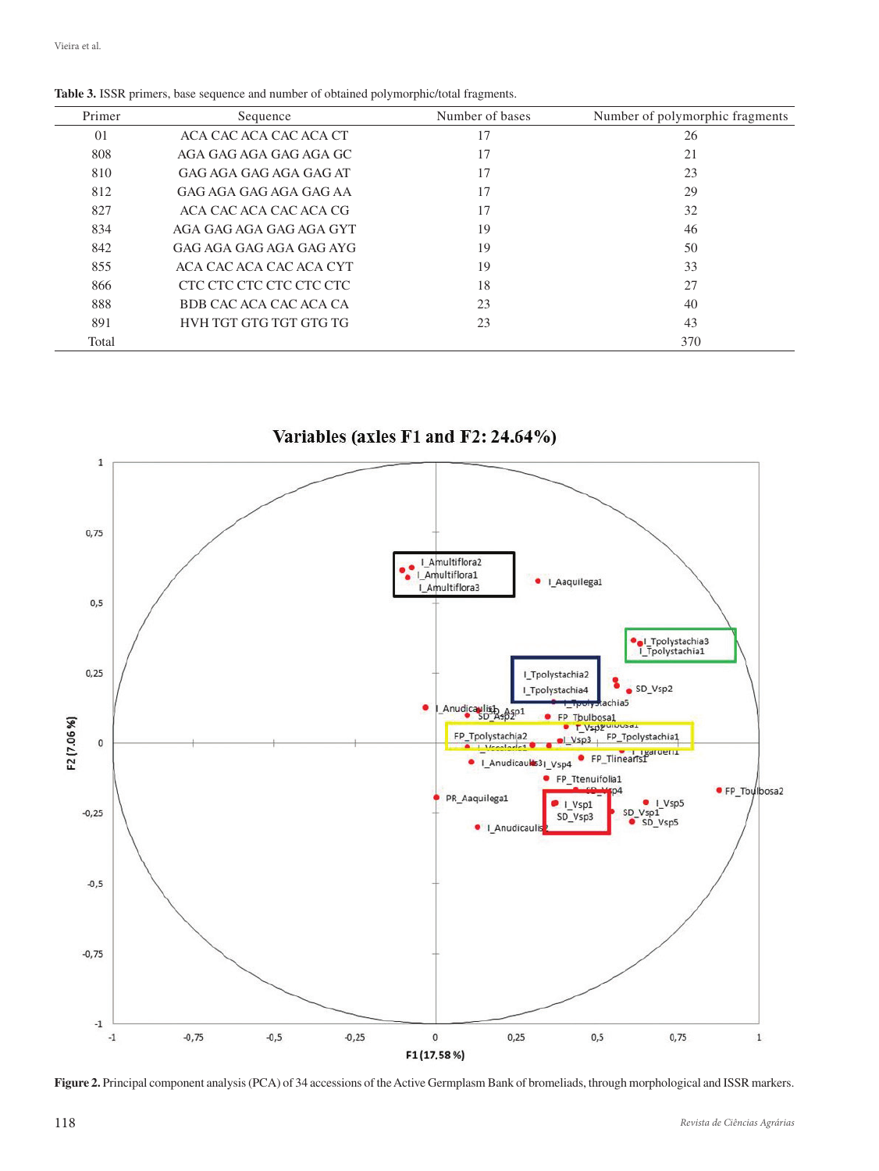| Primer | Sequence                | Number of bases | Number of polymorphic fragments |
|--------|-------------------------|-----------------|---------------------------------|
| 01     | ACA CAC ACA CAC ACA CT  | 17              | 26                              |
| 808    | AGA GAG AGA GAG AGA GC  | 17              | 21                              |
| 810    | GAG AGA GAG AGA GAG AT  | 17              | 23                              |
| 812    | GAG AGA GAG AGA GAG AA  | 17              | 29                              |
| 827    | ACA CAC ACA CAC ACA CG  | 17              | 32                              |
| 834    | AGA GAG AGA GAG AGA GYT | 19              | 46                              |
| 842    | GAG AGA GAG AGA GAG AYG | 19              | 50                              |
| 855    | ACA CAC ACA CAC ACA CYT | 19              | 33                              |
| 866    | CTC CTC CTC CTC CTC CTC | 18              | 27                              |
| 888    | BDB CAC ACA CAC ACA CA  | 23              | 40                              |
| 891    | HVH TGT GTG TGT GTG TG  | 23              | 43                              |
| Total  |                         |                 | 370                             |

**Table 3.** ISSR primers, base sequence and number of obtained polymorphic/total fragments.



Variables (axles F1 and F2: 24.64%)

**Figure 2.** Principal component analysis (PCA) of 34 accessions of the Active Germplasm Bank of bromeliads, through morphological and ISSR markers.